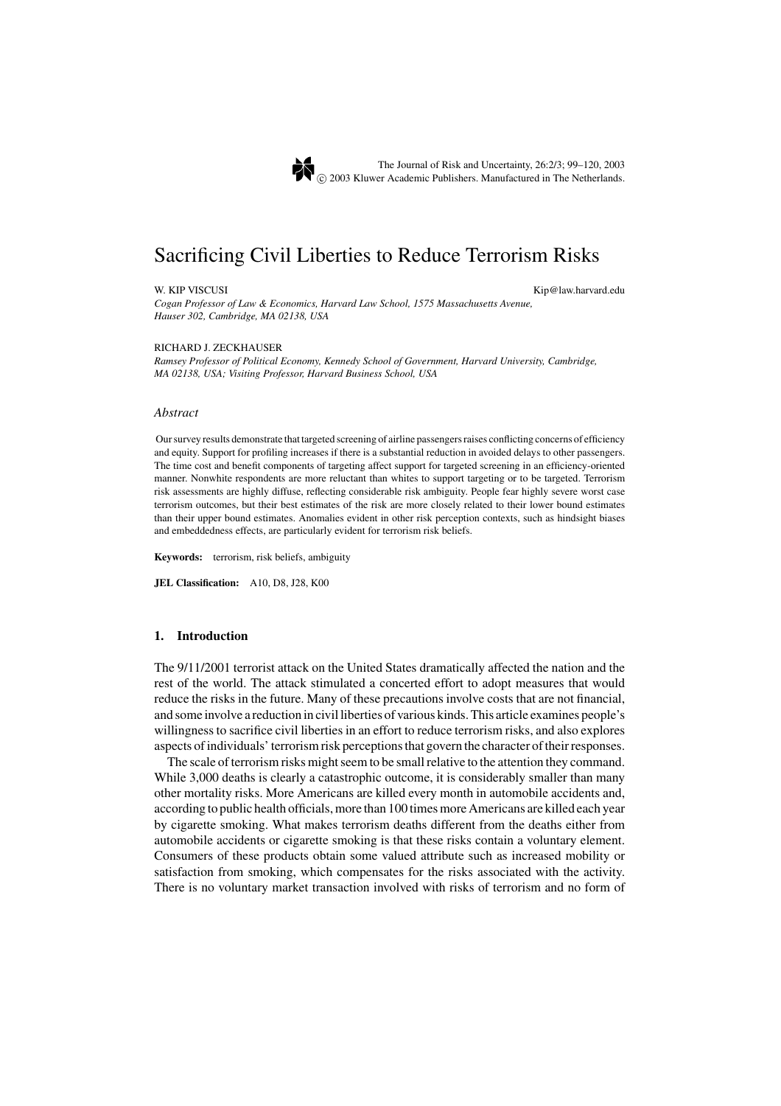# Sacrificing Civil Liberties to Reduce Terrorism Risks

W. KIP VISCUSI Kip@law.harvard.edu

*Cogan Professor of Law & Economics, Harvard Law School, 1575 Massachusetts Avenue, Hauser 302, Cambridge, MA 02138, USA*

#### RICHARD J. ZECKHAUSER

*Ramsey Professor of Political Economy, Kennedy School of Government, Harvard University, Cambridge, MA 02138, USA; Visiting Professor, Harvard Business School, USA*

#### *Abstract*

Our survey results demonstrate that targeted screening of airline passengers raises conflicting concerns of efficiency and equity. Support for profiling increases if there is a substantial reduction in avoided delays to other passengers. The time cost and benefit components of targeting affect support for targeted screening in an efficiency-oriented manner. Nonwhite respondents are more reluctant than whites to support targeting or to be targeted. Terrorism risk assessments are highly diffuse, reflecting considerable risk ambiguity. People fear highly severe worst case terrorism outcomes, but their best estimates of the risk are more closely related to their lower bound estimates than their upper bound estimates. Anomalies evident in other risk perception contexts, such as hindsight biases and embeddedness effects, are particularly evident for terrorism risk beliefs.

**Keywords:** terrorism, risk beliefs, ambiguity

**JEL Classification:** A10, D8, J28, K00

# **1. Introduction**

The 9/11/2001 terrorist attack on the United States dramatically affected the nation and the rest of the world. The attack stimulated a concerted effort to adopt measures that would reduce the risks in the future. Many of these precautions involve costs that are not financial, and some involve a reduction in civil liberties of various kinds. This article examines people's willingness to sacrifice civil liberties in an effort to reduce terrorism risks, and also explores aspects of individuals' terrorism risk perceptions that govern the character of their responses.

The scale of terrorism risks might seem to be small relative to the attention they command. While 3,000 deaths is clearly a catastrophic outcome, it is considerably smaller than many other mortality risks. More Americans are killed every month in automobile accidents and, according to public health officials, more than 100 times more Americans are killed each year by cigarette smoking. What makes terrorism deaths different from the deaths either from automobile accidents or cigarette smoking is that these risks contain a voluntary element. Consumers of these products obtain some valued attribute such as increased mobility or satisfaction from smoking, which compensates for the risks associated with the activity. There is no voluntary market transaction involved with risks of terrorism and no form of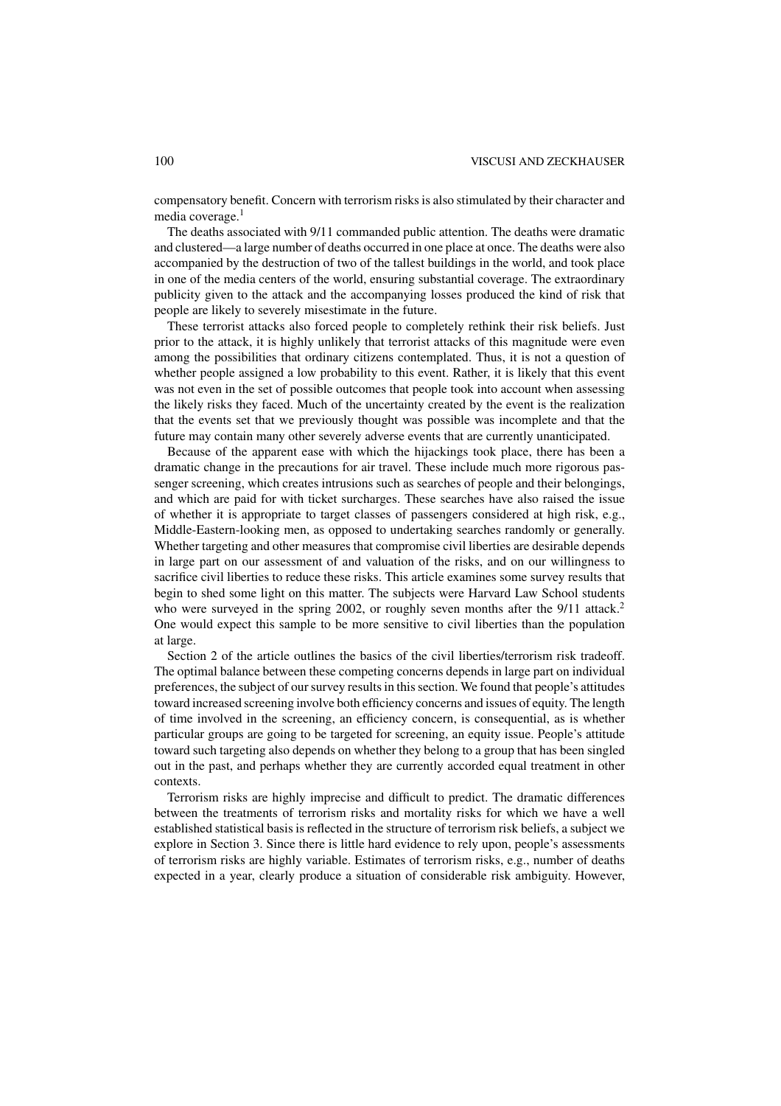compensatory benefit. Concern with terrorism risks is also stimulated by their character and media coverage.<sup>1</sup>

The deaths associated with 9/11 commanded public attention. The deaths were dramatic and clustered—a large number of deaths occurred in one place at once. The deaths were also accompanied by the destruction of two of the tallest buildings in the world, and took place in one of the media centers of the world, ensuring substantial coverage. The extraordinary publicity given to the attack and the accompanying losses produced the kind of risk that people are likely to severely misestimate in the future.

These terrorist attacks also forced people to completely rethink their risk beliefs. Just prior to the attack, it is highly unlikely that terrorist attacks of this magnitude were even among the possibilities that ordinary citizens contemplated. Thus, it is not a question of whether people assigned a low probability to this event. Rather, it is likely that this event was not even in the set of possible outcomes that people took into account when assessing the likely risks they faced. Much of the uncertainty created by the event is the realization that the events set that we previously thought was possible was incomplete and that the future may contain many other severely adverse events that are currently unanticipated.

Because of the apparent ease with which the hijackings took place, there has been a dramatic change in the precautions for air travel. These include much more rigorous passenger screening, which creates intrusions such as searches of people and their belongings, and which are paid for with ticket surcharges. These searches have also raised the issue of whether it is appropriate to target classes of passengers considered at high risk, e.g., Middle-Eastern-looking men, as opposed to undertaking searches randomly or generally. Whether targeting and other measures that compromise civil liberties are desirable depends in large part on our assessment of and valuation of the risks, and on our willingness to sacrifice civil liberties to reduce these risks. This article examines some survey results that begin to shed some light on this matter. The subjects were Harvard Law School students who were surveyed in the spring 2002, or roughly seven months after the 9/11 attack.<sup>2</sup> One would expect this sample to be more sensitive to civil liberties than the population at large.

Section 2 of the article outlines the basics of the civil liberties/terrorism risk tradeoff. The optimal balance between these competing concerns depends in large part on individual preferences, the subject of our survey results in this section. We found that people's attitudes toward increased screening involve both efficiency concerns and issues of equity. The length of time involved in the screening, an efficiency concern, is consequential, as is whether particular groups are going to be targeted for screening, an equity issue. People's attitude toward such targeting also depends on whether they belong to a group that has been singled out in the past, and perhaps whether they are currently accorded equal treatment in other contexts.

Terrorism risks are highly imprecise and difficult to predict. The dramatic differences between the treatments of terrorism risks and mortality risks for which we have a well established statistical basis is reflected in the structure of terrorism risk beliefs, a subject we explore in Section 3. Since there is little hard evidence to rely upon, people's assessments of terrorism risks are highly variable. Estimates of terrorism risks, e.g., number of deaths expected in a year, clearly produce a situation of considerable risk ambiguity. However,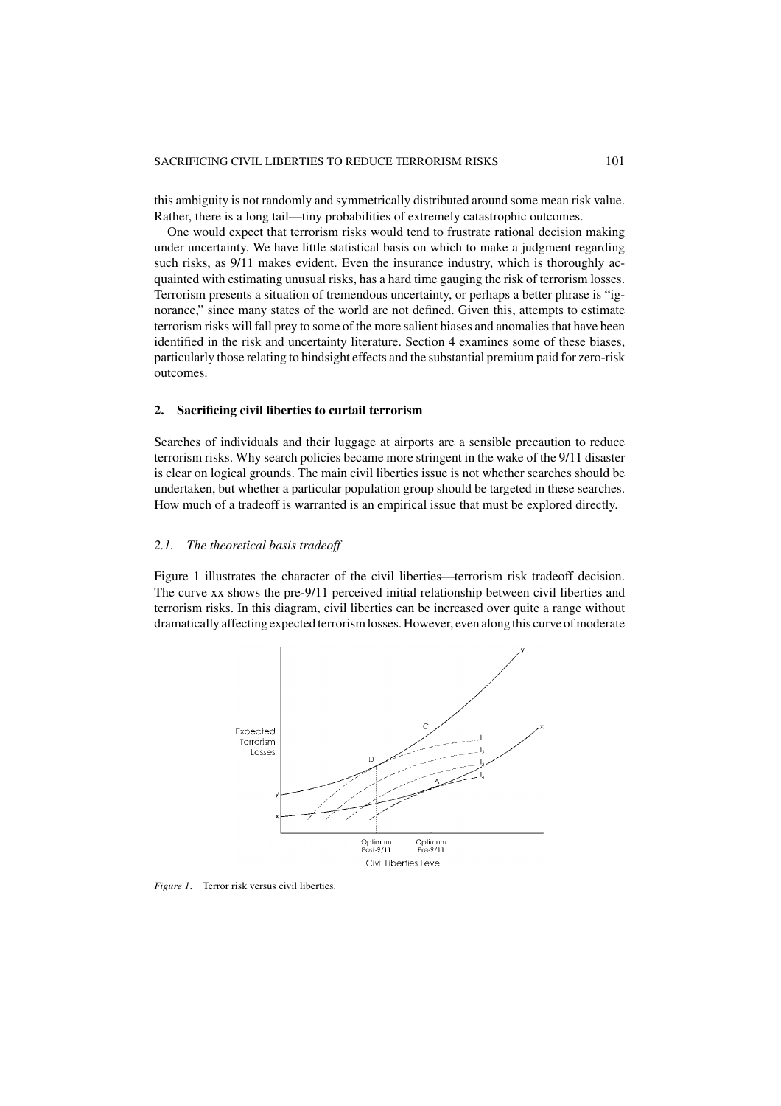this ambiguity is not randomly and symmetrically distributed around some mean risk value. Rather, there is a long tail—tiny probabilities of extremely catastrophic outcomes.

One would expect that terrorism risks would tend to frustrate rational decision making under uncertainty. We have little statistical basis on which to make a judgment regarding such risks, as  $9/11$  makes evident. Even the insurance industry, which is thoroughly acquainted with estimating unusual risks, has a hard time gauging the risk of terrorism losses. Terrorism presents a situation of tremendous uncertainty, or perhaps a better phrase is "ignorance," since many states of the world are not defined. Given this, attempts to estimate terrorism risks will fall prey to some of the more salient biases and anomalies that have been identified in the risk and uncertainty literature. Section 4 examines some of these biases, particularly those relating to hindsight effects and the substantial premium paid for zero-risk outcomes.

# **2. Sacrificing civil liberties to curtail terrorism**

Searches of individuals and their luggage at airports are a sensible precaution to reduce terrorism risks. Why search policies became more stringent in the wake of the 9/11 disaster is clear on logical grounds. The main civil liberties issue is not whether searches should be undertaken, but whether a particular population group should be targeted in these searches. How much of a tradeoff is warranted is an empirical issue that must be explored directly.

# *2.1. The theoretical basis tradeoff*

Figure 1 illustrates the character of the civil liberties—terrorism risk tradeoff decision. The curve xx shows the pre-9/11 perceived initial relationship between civil liberties and terrorism risks. In this diagram, civil liberties can be increased over quite a range without dramatically affecting expected terrorism losses. However, even along this curve of moderate



*Figure 1*. Terror risk versus civil liberties.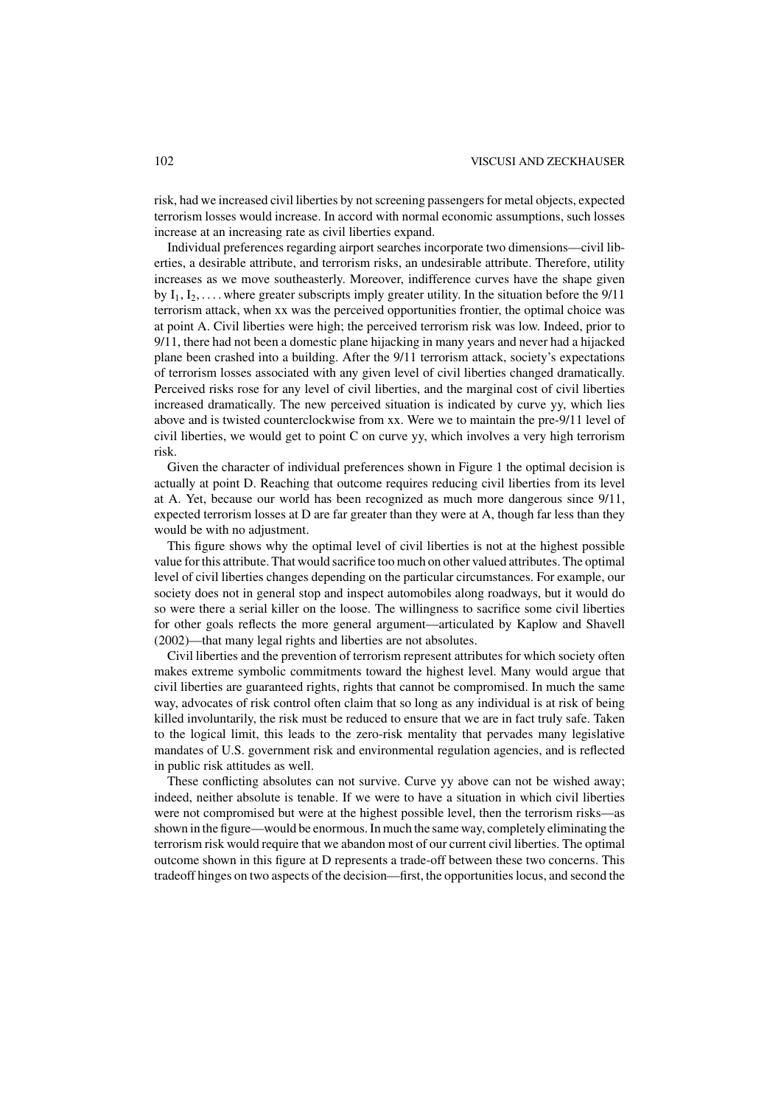risk, had we increased civil liberties by not screening passengers for metal objects, expected terrorism losses would increase. In accord with normal economic assumptions, such losses increase at an increasing rate as civil liberties expand.

Individual preferences regarding airport searches incorporate two dimensions—civil liberties, a desirable attribute, and terrorism risks, an undesirable attribute. Therefore, utility increases as we move southeasterly. Moreover, indifference curves have the shape given by  $I_1, I_2, \ldots$  where greater subscripts imply greater utility. In the situation before the 9/11 terrorism attack, when xx was the perceived opportunities frontier, the optimal choice was at point A. Civil liberties were high; the perceived terrorism risk was low. Indeed, prior to 9/11, there had not been a domestic plane hijacking in many years and never had a hijacked plane been crashed into a building. After the 9/11 terrorism attack, society's expectations of terrorism losses associated with any given level of civil liberties changed dramatically. Perceived risks rose for any level of civil liberties, and the marginal cost of civil liberties increased dramatically. The new perceived situation is indicated by curve yy, which lies above and is twisted counterclockwise from xx. Were we to maintain the pre-9/11 level of civil liberties, we would get to point C on curve yy, which involves a very high terrorism risk.

Given the character of individual preferences shown in Figure 1 the optimal decision is actually at point D. Reaching that outcome requires reducing civil liberties from its level at A. Yet, because our world has been recognized as much more dangerous since 9/11, expected terrorism losses at D are far greater than they were at A, though far less than they would be with no adjustment.

This figure shows why the optimal level of civil liberties is not at the highest possible value for this attribute. That would sacrifice too much on other valued attributes. The optimal level of civil liberties changes depending on the particular circumstances. For example, our society does not in general stop and inspect automobiles along roadways, but it would do so were there a serial killer on the loose. The willingness to sacrifice some civil liberties for other goals reflects the more general argument—articulated by Kaplow and Shavell (2002)—that many legal rights and liberties are not absolutes.

Civil liberties and the prevention of terrorism represent attributes for which society often makes extreme symbolic commitments toward the highest level. Many would argue that civil liberties are guaranteed rights, rights that cannot be compromised. In much the same way, advocates of risk control often claim that so long as any individual is at risk of being killed involuntarily, the risk must be reduced to ensure that we are in fact truly safe. Taken to the logical limit, this leads to the zero-risk mentality that pervades many legislative mandates of U.S. government risk and environmental regulation agencies, and is reflected in public risk attitudes as well.

These conflicting absolutes can not survive. Curve yy above can not be wished away; indeed, neither absolute is tenable. If we were to have a situation in which civil liberties were not compromised but were at the highest possible level, then the terrorism risks—as shown in the figure—would be enormous. In much the same way, completely eliminating the terrorism risk would require that we abandon most of our current civil liberties. The optimal outcome shown in this figure at D represents a trade-off between these two concerns. This tradeoff hinges on two aspects of the decision—first, the opportunities locus, and second the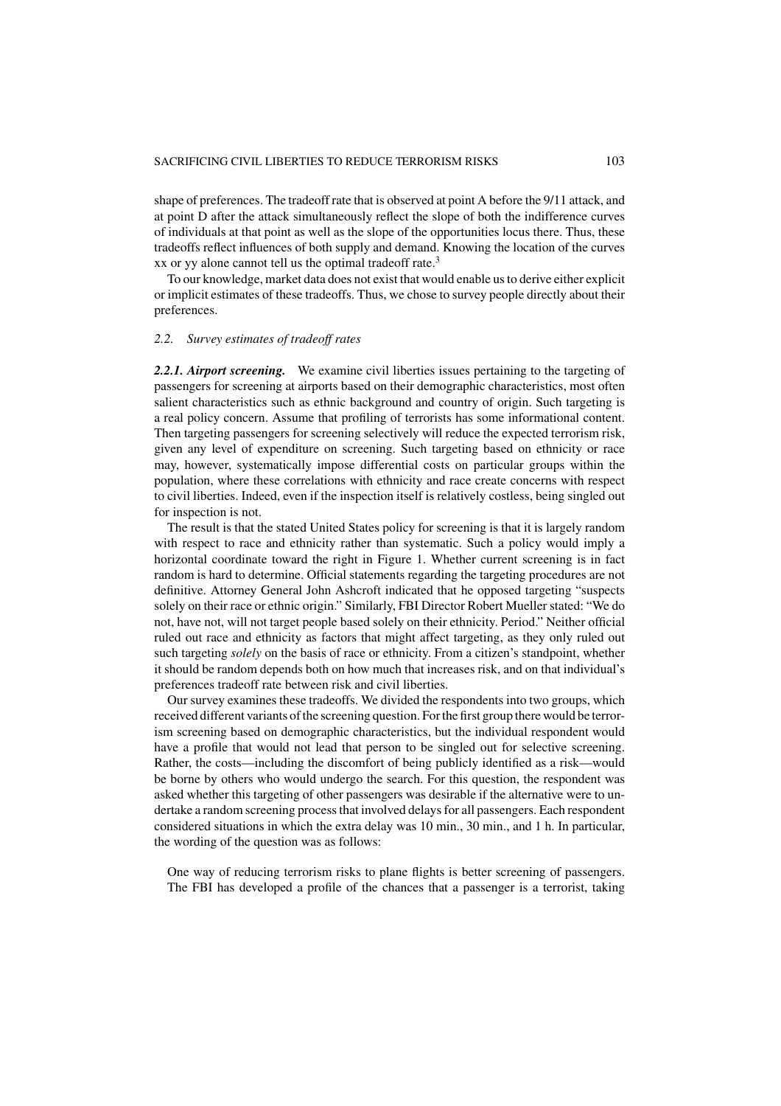shape of preferences. The tradeoff rate that is observed at point A before the 9/11 attack, and at point D after the attack simultaneously reflect the slope of both the indifference curves of individuals at that point as well as the slope of the opportunities locus there. Thus, these tradeoffs reflect influences of both supply and demand. Knowing the location of the curves xx or yy alone cannot tell us the optimal tradeoff rate.3

To our knowledge, market data does not exist that would enable us to derive either explicit or implicit estimates of these tradeoffs. Thus, we chose to survey people directly about their preferences.

# *2.2. Survey estimates of tradeoff rates*

2.2.1. Airport screening. We examine civil liberties issues pertaining to the targeting of passengers for screening at airports based on their demographic characteristics, most often salient characteristics such as ethnic background and country of origin. Such targeting is a real policy concern. Assume that profiling of terrorists has some informational content. Then targeting passengers for screening selectively will reduce the expected terrorism risk, given any level of expenditure on screening. Such targeting based on ethnicity or race may, however, systematically impose differential costs on particular groups within the population, where these correlations with ethnicity and race create concerns with respect to civil liberties. Indeed, even if the inspection itself is relatively costless, being singled out for inspection is not.

The result is that the stated United States policy for screening is that it is largely random with respect to race and ethnicity rather than systematic. Such a policy would imply a horizontal coordinate toward the right in Figure 1. Whether current screening is in fact random is hard to determine. Official statements regarding the targeting procedures are not definitive. Attorney General John Ashcroft indicated that he opposed targeting "suspects solely on their race or ethnic origin." Similarly, FBI Director Robert Mueller stated: "We do not, have not, will not target people based solely on their ethnicity. Period." Neither official ruled out race and ethnicity as factors that might affect targeting, as they only ruled out such targeting *solely* on the basis of race or ethnicity. From a citizen's standpoint, whether it should be random depends both on how much that increases risk, and on that individual's preferences tradeoff rate between risk and civil liberties.

Our survey examines these tradeoffs. We divided the respondents into two groups, which received different variants of the screening question. For the first group there would be terrorism screening based on demographic characteristics, but the individual respondent would have a profile that would not lead that person to be singled out for selective screening. Rather, the costs—including the discomfort of being publicly identified as a risk—would be borne by others who would undergo the search. For this question, the respondent was asked whether this targeting of other passengers was desirable if the alternative were to undertake a random screening process that involved delays for all passengers. Each respondent considered situations in which the extra delay was 10 min., 30 min., and 1 h. In particular, the wording of the question was as follows:

One way of reducing terrorism risks to plane flights is better screening of passengers. The FBI has developed a profile of the chances that a passenger is a terrorist, taking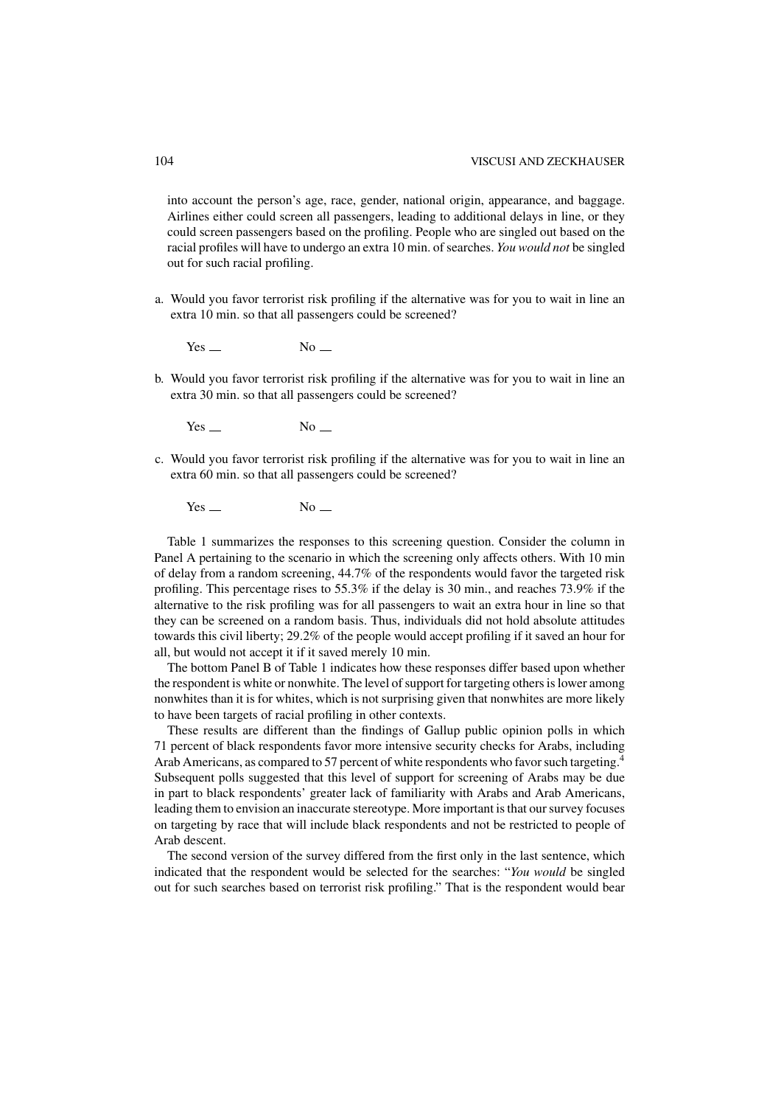into account the person's age, race, gender, national origin, appearance, and baggage. Airlines either could screen all passengers, leading to additional delays in line, or they could screen passengers based on the profiling. People who are singled out based on the racial profiles will have to undergo an extra 10 min. of searches. *You would not* be singled out for such racial profiling.

a. Would you favor terrorist risk profiling if the alternative was for you to wait in line an extra 10 min. so that all passengers could be screened?

 $Yes$   $No$   $No$ 

b. Would you favor terrorist risk profiling if the alternative was for you to wait in line an extra 30 min. so that all passengers could be screened?

 $Yes$   $No$   $No$ 

c. Would you favor terrorist risk profiling if the alternative was for you to wait in line an extra 60 min. so that all passengers could be screened?

 $Yes$   $No$   $No$ 

Table 1 summarizes the responses to this screening question. Consider the column in Panel A pertaining to the scenario in which the screening only affects others. With 10 min of delay from a random screening, 44.7% of the respondents would favor the targeted risk profiling. This percentage rises to 55.3% if the delay is 30 min., and reaches 73.9% if the alternative to the risk profiling was for all passengers to wait an extra hour in line so that they can be screened on a random basis. Thus, individuals did not hold absolute attitudes towards this civil liberty; 29.2% of the people would accept profiling if it saved an hour for all, but would not accept it if it saved merely 10 min.

The bottom Panel B of Table 1 indicates how these responses differ based upon whether the respondent is white or nonwhite. The level of support for targeting others is lower among nonwhites than it is for whites, which is not surprising given that nonwhites are more likely to have been targets of racial profiling in other contexts.

These results are different than the findings of Gallup public opinion polls in which 71 percent of black respondents favor more intensive security checks for Arabs, including Arab Americans, as compared to 57 percent of white respondents who favor such targeting.<sup>4</sup> Subsequent polls suggested that this level of support for screening of Arabs may be due in part to black respondents' greater lack of familiarity with Arabs and Arab Americans, leading them to envision an inaccurate stereotype. More important is that our survey focuses on targeting by race that will include black respondents and not be restricted to people of Arab descent.

The second version of the survey differed from the first only in the last sentence, which indicated that the respondent would be selected for the searches: "*You would* be singled out for such searches based on terrorist risk profiling." That is the respondent would bear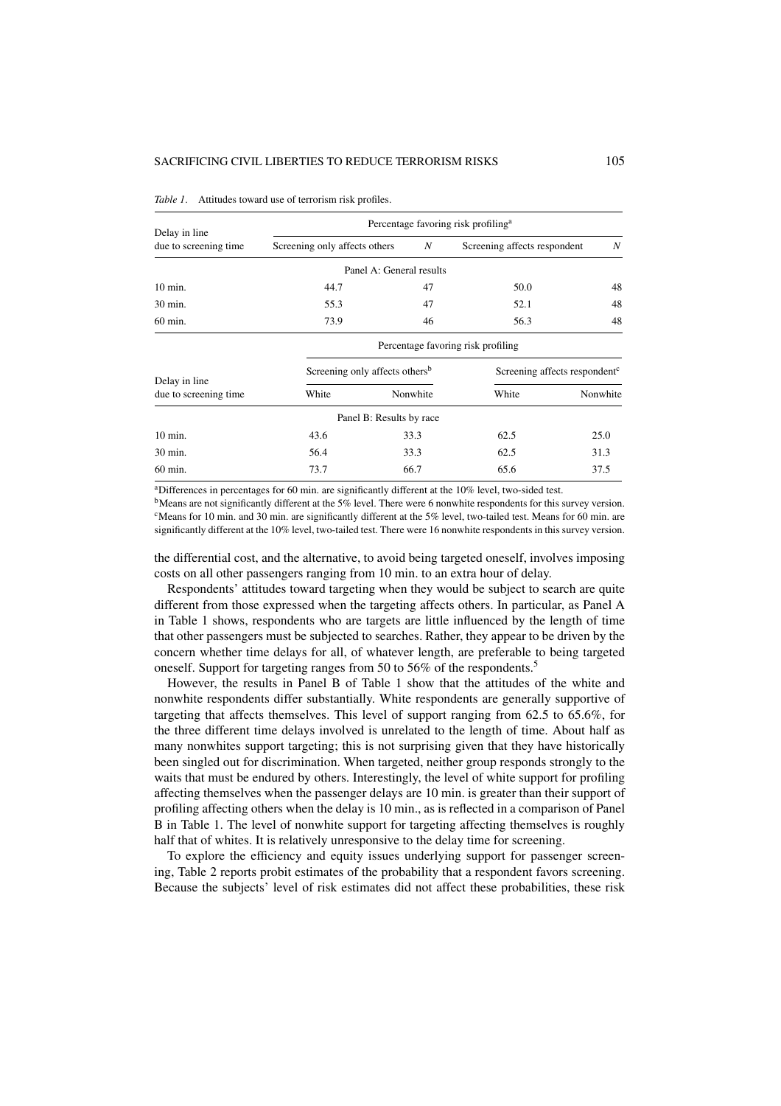| Delay in line         | Percentage favoring risk profiling <sup>a</sup> |                          |                                           |          |  |
|-----------------------|-------------------------------------------------|--------------------------|-------------------------------------------|----------|--|
| due to screening time | Screening only affects others                   | N                        | Screening affects respondent              | N        |  |
|                       |                                                 | Panel A: General results |                                           |          |  |
| $10 \text{ min}$ .    | 44.7                                            | 47                       | 50.0                                      | 48       |  |
| 30 min.               | 55.3                                            | 47                       | 52.1                                      | 48       |  |
| 60 min.               | 73.9                                            | 46                       | 56.3                                      | 48       |  |
|                       |                                                 |                          | Percentage favoring risk profiling        |          |  |
| Delay in line         | Screening only affects others <sup>b</sup>      |                          | Screening affects respondent <sup>c</sup> |          |  |
| due to screening time | White                                           | Nonwhite                 | White                                     | Nonwhite |  |
|                       | Panel B: Results by race                        |                          |                                           |          |  |
| $10$ min.             | 43.6                                            | 33.3                     | 62.5                                      | 25.0     |  |
| 30 min.               | 56.4                                            | 33.3                     | 62.5                                      | 31.3     |  |
| 60 min.               | 73.7                                            | 66.7                     | 65.6                                      | 37.5     |  |

#### *Table 1*. Attitudes toward use of terrorism risk profiles.

<sup>a</sup>Differences in percentages for 60 min. are significantly different at the 10% level, two-sided test.

bMeans are not significantly different at the 5% level. There were 6 nonwhite respondents for this survey version.  $\degree$ Means for 10 min. and 30 min. are significantly different at the 5% level, two-tailed test. Means for 60 min. are significantly different at the 10% level, two-tailed test. There were 16 nonwhite respondents in this survey version.

the differential cost, and the alternative, to avoid being targeted oneself, involves imposing costs on all other passengers ranging from 10 min. to an extra hour of delay.

Respondents' attitudes toward targeting when they would be subject to search are quite different from those expressed when the targeting affects others. In particular, as Panel A in Table 1 shows, respondents who are targets are little influenced by the length of time that other passengers must be subjected to searches. Rather, they appear to be driven by the concern whether time delays for all, of whatever length, are preferable to being targeted oneself. Support for targeting ranges from 50 to 56% of the respondents.<sup>5</sup>

However, the results in Panel B of Table 1 show that the attitudes of the white and nonwhite respondents differ substantially. White respondents are generally supportive of targeting that affects themselves. This level of support ranging from 62.5 to 65.6%, for the three different time delays involved is unrelated to the length of time. About half as many nonwhites support targeting; this is not surprising given that they have historically been singled out for discrimination. When targeted, neither group responds strongly to the waits that must be endured by others. Interestingly, the level of white support for profiling affecting themselves when the passenger delays are 10 min. is greater than their support of profiling affecting others when the delay is 10 min., as is reflected in a comparison of Panel B in Table 1. The level of nonwhite support for targeting affecting themselves is roughly half that of whites. It is relatively unresponsive to the delay time for screening.

To explore the efficiency and equity issues underlying support for passenger screening, Table 2 reports probit estimates of the probability that a respondent favors screening. Because the subjects' level of risk estimates did not affect these probabilities, these risk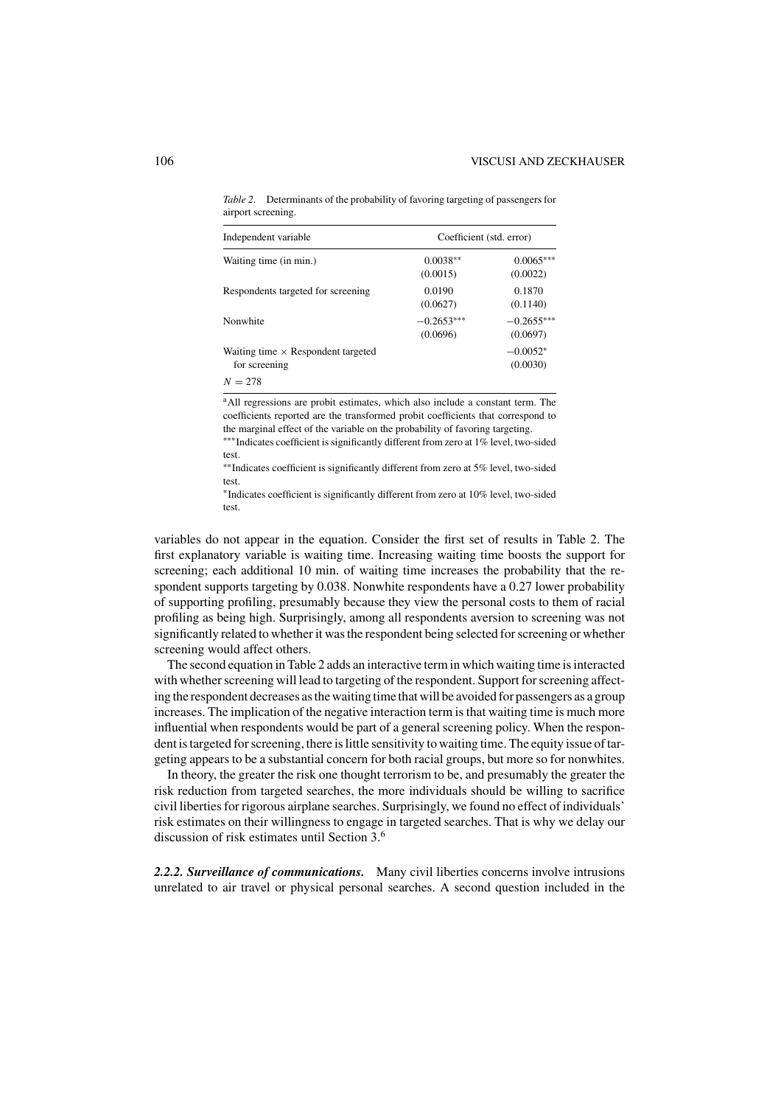*Table 2*. Determinants of the probability of favoring targeting of passengers for airport screening.

| Independent variable                                       | Coefficient (std. error) |                          |  |
|------------------------------------------------------------|--------------------------|--------------------------|--|
| Waiting time (in min.)                                     | $0.0038**$<br>(0.0015)   | $0.0065***$<br>(0.0022)  |  |
| Respondents targeted for screening                         | 0.0190<br>(0.0627)       | 0.1870<br>(0.1140)       |  |
| Nonwhite                                                   | $-0.2653***$<br>(0.0696) | $-0.2655***$<br>(0.0697) |  |
| Waiting time $\times$ Respondent targeted<br>for screening |                          | $-0.0052*$<br>(0.0030)   |  |
| $N = 278$                                                  |                          |                          |  |

<sup>a</sup>All regressions are probit estimates, which also include a constant term. The coefficients reported are the transformed probit coefficients that correspond to the marginal effect of the variable on the probability of favoring targeting. ∗∗∗Indicates coefficient is significantly different from zero at 1% level, two-sided

test.

∗∗Indicates coefficient is significantly different from zero at 5% level, two-sided test.

∗Indicates coefficient is significantly different from zero at 10% level, two-sided test.

variables do not appear in the equation. Consider the first set of results in Table 2. The first explanatory variable is waiting time. Increasing waiting time boosts the support for screening; each additional 10 min. of waiting time increases the probability that the respondent supports targeting by 0.038. Nonwhite respondents have a 0.27 lower probability of supporting profiling, presumably because they view the personal costs to them of racial profiling as being high. Surprisingly, among all respondents aversion to screening was not significantly related to whether it was the respondent being selected for screening or whether screening would affect others.

The second equation in Table 2 adds an interactive term in which waiting time is interacted with whether screening will lead to targeting of the respondent. Support for screening affecting the respondent decreases as the waiting time that will be avoided for passengers as a group increases. The implication of the negative interaction term is that waiting time is much more influential when respondents would be part of a general screening policy. When the respondent is targeted for screening, there is little sensitivity to waiting time. The equity issue of targeting appears to be a substantial concern for both racial groups, but more so for nonwhites.

In theory, the greater the risk one thought terrorism to be, and presumably the greater the risk reduction from targeted searches, the more individuals should be willing to sacrifice civil liberties for rigorous airplane searches. Surprisingly, we found no effect of individuals' risk estimates on their willingness to engage in targeted searches. That is why we delay our discussion of risk estimates until Section 3.<sup>6</sup>

*2.2.2. Surveillance of communications.* Many civil liberties concerns involve intrusions unrelated to air travel or physical personal searches. A second question included in the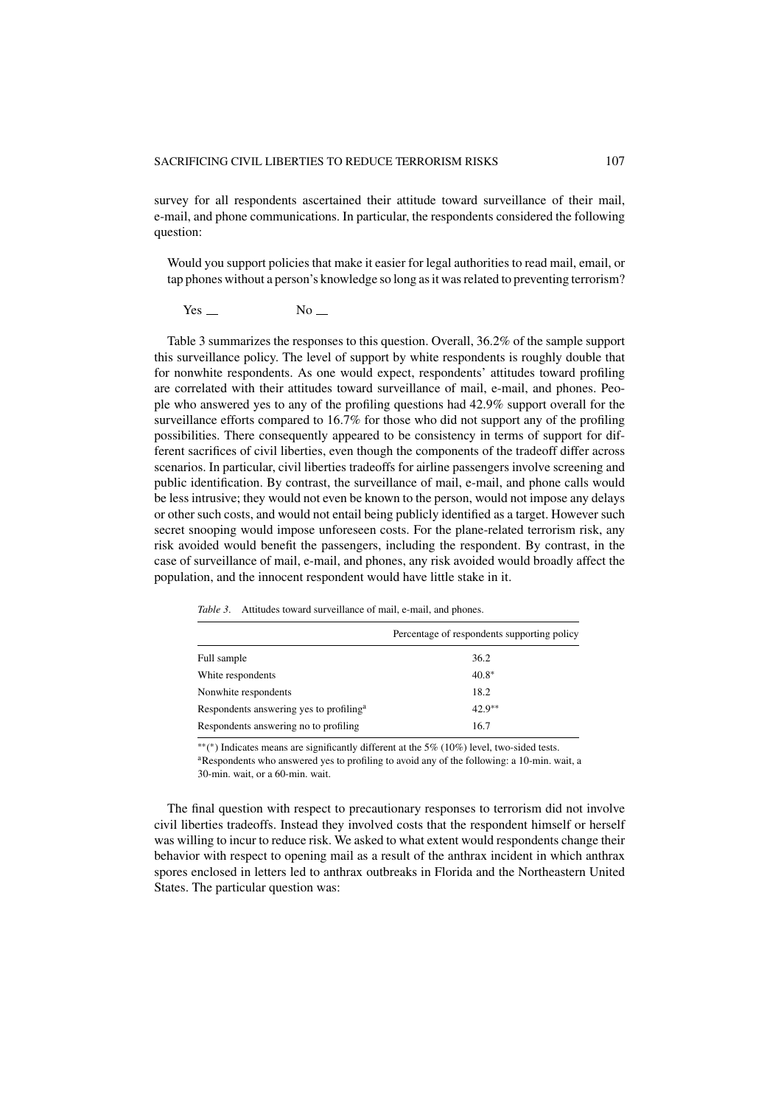survey for all respondents ascertained their attitude toward surveillance of their mail, e-mail, and phone communications. In particular, the respondents considered the following question:

Would you support policies that make it easier for legal authorities to read mail, email, or tap phones without a person's knowledge so long as it was related to preventing terrorism?

 $Yes$   $No$   $No$ 

Table 3 summarizes the responses to this question. Overall, 36.2% of the sample support this surveillance policy. The level of support by white respondents is roughly double that for nonwhite respondents. As one would expect, respondents' attitudes toward profiling are correlated with their attitudes toward surveillance of mail, e-mail, and phones. People who answered yes to any of the profiling questions had 42.9% support overall for the surveillance efforts compared to 16.7% for those who did not support any of the profiling possibilities. There consequently appeared to be consistency in terms of support for different sacrifices of civil liberties, even though the components of the tradeoff differ across scenarios. In particular, civil liberties tradeoffs for airline passengers involve screening and public identification. By contrast, the surveillance of mail, e-mail, and phone calls would be less intrusive; they would not even be known to the person, would not impose any delays or other such costs, and would not entail being publicly identified as a target. However such secret snooping would impose unforeseen costs. For the plane-related terrorism risk, any risk avoided would benefit the passengers, including the respondent. By contrast, in the case of surveillance of mail, e-mail, and phones, any risk avoided would broadly affect the population, and the innocent respondent would have little stake in it.

*Table 3*. Attitudes toward surveillance of mail, e-mail, and phones.

|                                                     | Percentage of respondents supporting policy |
|-----------------------------------------------------|---------------------------------------------|
| Full sample                                         | 36.2                                        |
| White respondents                                   | $40.8*$                                     |
| Nonwhite respondents                                | 18.2                                        |
| Respondents answering yes to profiling <sup>a</sup> | $42.9**$                                    |
| Respondents answering no to profiling               | 16.7                                        |

∗∗( ∗) Indicates means are significantly different at the 5% (10%) level, two-sided tests. <sup>a</sup>Respondents who answered yes to profiling to avoid any of the following: a 10-min. wait, a 30-min. wait, or a 60-min. wait.

The final question with respect to precautionary responses to terrorism did not involve civil liberties tradeoffs. Instead they involved costs that the respondent himself or herself was willing to incur to reduce risk. We asked to what extent would respondents change their behavior with respect to opening mail as a result of the anthrax incident in which anthrax spores enclosed in letters led to anthrax outbreaks in Florida and the Northeastern United States. The particular question was: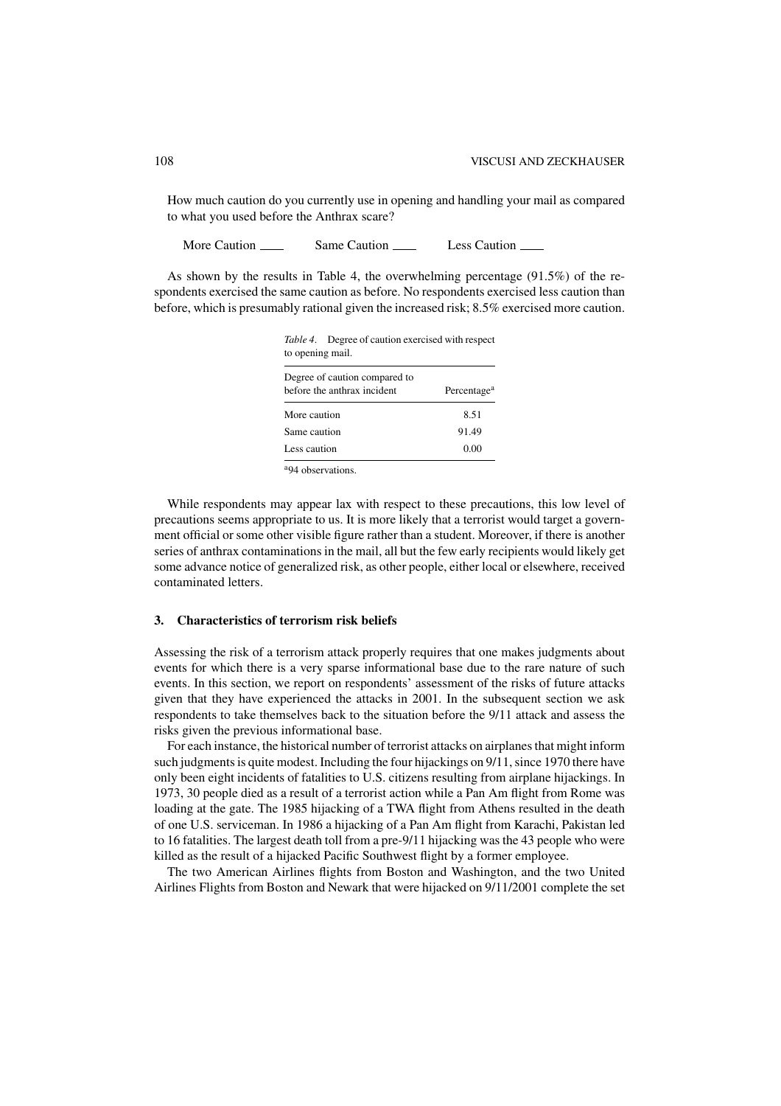How much caution do you currently use in opening and handling your mail as compared to what you used before the Anthrax scare?

|  | More Caution | Same Caution | Less Caution |
|--|--------------|--------------|--------------|
|--|--------------|--------------|--------------|

As shown by the results in Table 4, the overwhelming percentage (91.5%) of the respondents exercised the same caution as before. No respondents exercised less caution than before, which is presumably rational given the increased risk; 8.5% exercised more caution.

*Table 4*. Degree of caution exercised with respect to opening mail.

| Degree of caution compared to<br>before the anthrax incident | Percentage <sup>a</sup> |
|--------------------------------------------------------------|-------------------------|
| More caution                                                 | 8.51                    |
| Same caution                                                 | 91.49                   |
| Less caution                                                 | 0.00                    |

a94 observations.

While respondents may appear lax with respect to these precautions, this low level of precautions seems appropriate to us. It is more likely that a terrorist would target a government official or some other visible figure rather than a student. Moreover, if there is another series of anthrax contaminations in the mail, all but the few early recipients would likely get some advance notice of generalized risk, as other people, either local or elsewhere, received contaminated letters.

# **3. Characteristics of terrorism risk beliefs**

Assessing the risk of a terrorism attack properly requires that one makes judgments about events for which there is a very sparse informational base due to the rare nature of such events. In this section, we report on respondents' assessment of the risks of future attacks given that they have experienced the attacks in 2001. In the subsequent section we ask respondents to take themselves back to the situation before the 9/11 attack and assess the risks given the previous informational base.

For each instance, the historical number of terrorist attacks on airplanes that might inform such judgments is quite modest. Including the four hijackings on 9/11, since 1970 there have only been eight incidents of fatalities to U.S. citizens resulting from airplane hijackings. In 1973, 30 people died as a result of a terrorist action while a Pan Am flight from Rome was loading at the gate. The 1985 hijacking of a TWA flight from Athens resulted in the death of one U.S. serviceman. In 1986 a hijacking of a Pan Am flight from Karachi, Pakistan led to 16 fatalities. The largest death toll from a pre-9/11 hijacking was the 43 people who were killed as the result of a hijacked Pacific Southwest flight by a former employee.

The two American Airlines flights from Boston and Washington, and the two United Airlines Flights from Boston and Newark that were hijacked on 9/11/2001 complete the set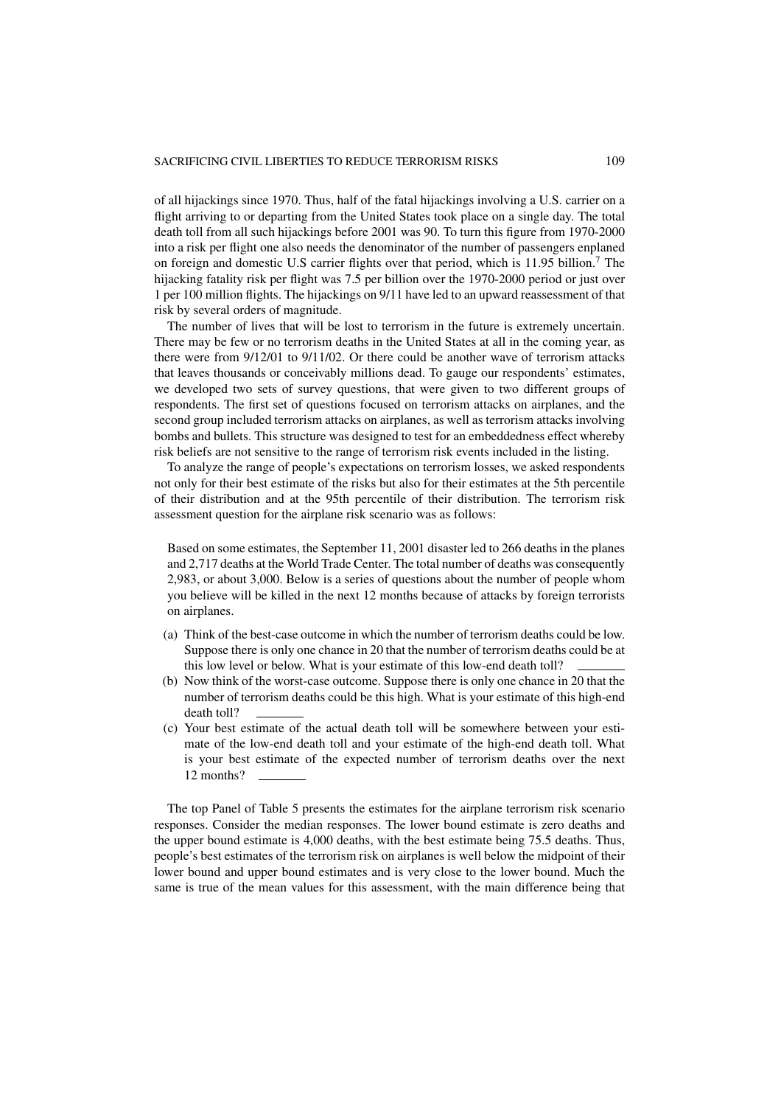of all hijackings since 1970. Thus, half of the fatal hijackings involving a U.S. carrier on a flight arriving to or departing from the United States took place on a single day. The total death toll from all such hijackings before 2001 was 90. To turn this figure from 1970-2000 into a risk per flight one also needs the denominator of the number of passengers enplaned on foreign and domestic U.S carrier flights over that period, which is 11.95 billion.7 The hijacking fatality risk per flight was 7.5 per billion over the 1970-2000 period or just over 1 per 100 million flights. The hijackings on 9/11 have led to an upward reassessment of that risk by several orders of magnitude.

The number of lives that will be lost to terrorism in the future is extremely uncertain. There may be few or no terrorism deaths in the United States at all in the coming year, as there were from 9/12/01 to 9/11/02. Or there could be another wave of terrorism attacks that leaves thousands or conceivably millions dead. To gauge our respondents' estimates, we developed two sets of survey questions, that were given to two different groups of respondents. The first set of questions focused on terrorism attacks on airplanes, and the second group included terrorism attacks on airplanes, as well as terrorism attacks involving bombs and bullets. This structure was designed to test for an embeddedness effect whereby risk beliefs are not sensitive to the range of terrorism risk events included in the listing.

To analyze the range of people's expectations on terrorism losses, we asked respondents not only for their best estimate of the risks but also for their estimates at the 5th percentile of their distribution and at the 95th percentile of their distribution. The terrorism risk assessment question for the airplane risk scenario was as follows:

Based on some estimates, the September 11, 2001 disaster led to 266 deaths in the planes and 2,717 deaths at the World Trade Center. The total number of deaths was consequently 2,983, or about 3,000. Below is a series of questions about the number of people whom you believe will be killed in the next 12 months because of attacks by foreign terrorists on airplanes.

- (a) Think of the best-case outcome in which the number of terrorism deaths could be low. Suppose there is only one chance in 20 that the number of terrorism deaths could be at this low level or below. What is your estimate of this low-end death toll?
- (b) Now think of the worst-case outcome. Suppose there is only one chance in 20 that the number of terrorism deaths could be this high. What is your estimate of this high-end death toll?
- (c) Your best estimate of the actual death toll will be somewhere between your estimate of the low-end death toll and your estimate of the high-end death toll. What is your best estimate of the expected number of terrorism deaths over the next 12 months?

The top Panel of Table 5 presents the estimates for the airplane terrorism risk scenario responses. Consider the median responses. The lower bound estimate is zero deaths and the upper bound estimate is 4,000 deaths, with the best estimate being 75.5 deaths. Thus, people's best estimates of the terrorism risk on airplanes is well below the midpoint of their lower bound and upper bound estimates and is very close to the lower bound. Much the same is true of the mean values for this assessment, with the main difference being that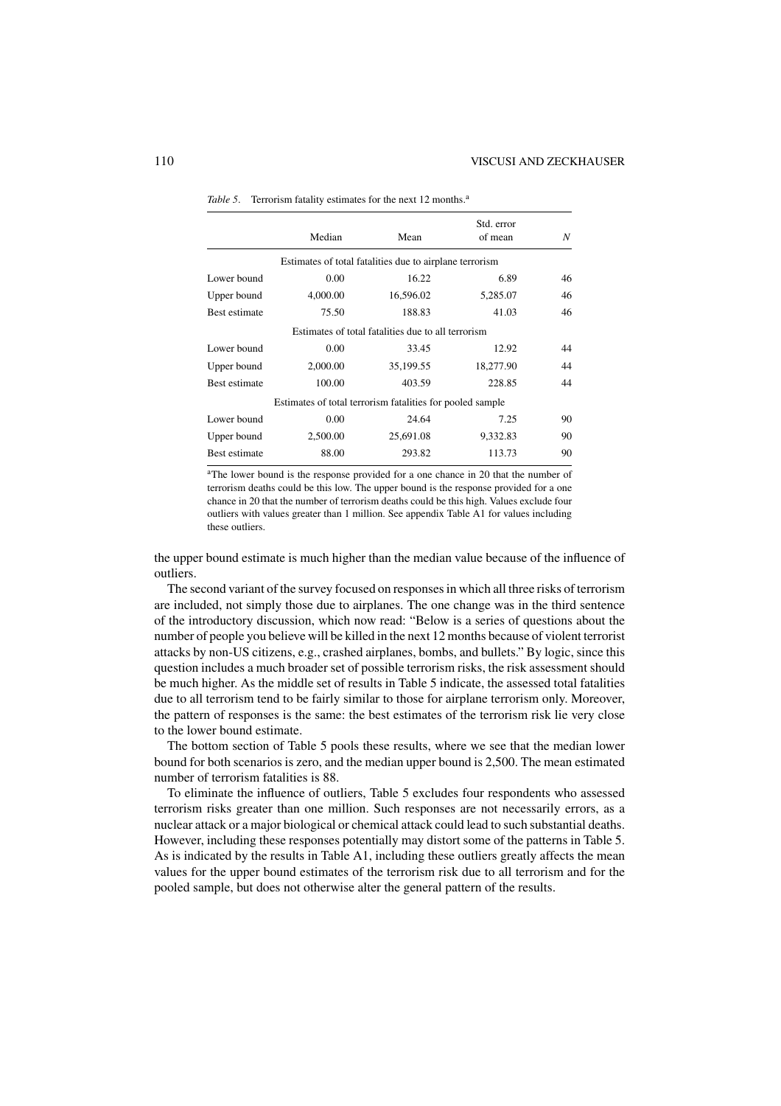|                                                           | Median                                                  | Mean      | Std. error<br>of mean | N  |  |
|-----------------------------------------------------------|---------------------------------------------------------|-----------|-----------------------|----|--|
|                                                           | Estimates of total fatalities due to airplane terrorism |           |                       |    |  |
| Lower bound                                               | 0.00                                                    | 16.22     | 6.89                  | 46 |  |
| Upper bound                                               | 4,000.00                                                | 16,596.02 | 5,285.07              | 46 |  |
| Best estimate                                             | 75.50                                                   | 188.83    | 41.03                 | 46 |  |
| Estimates of total fatalities due to all terrorism        |                                                         |           |                       |    |  |
| Lower bound                                               | 0.00                                                    | 33.45     | 12.92                 | 44 |  |
| Upper bound                                               | 2,000.00                                                | 35,199.55 | 18,277.90             | 44 |  |
| Best estimate                                             | 100.00                                                  | 403.59    | 228.85                | 44 |  |
| Estimates of total terrorism fatalities for pooled sample |                                                         |           |                       |    |  |
| Lower bound                                               | 0.00                                                    | 24.64     | 7.25                  | 90 |  |
| Upper bound                                               | 2,500.00                                                | 25,691.08 | 9,332.83              | 90 |  |
| Best estimate                                             | 88.00                                                   | 293.82    | 113.73                | 90 |  |

*Table 5.* Terrorism fatality estimates for the next 12 months.<sup>a</sup>

<sup>a</sup>The lower bound is the response provided for a one chance in 20 that the number of terrorism deaths could be this low. The upper bound is the response provided for a one chance in 20 that the number of terrorism deaths could be this high. Values exclude four outliers with values greater than 1 million. See appendix Table A1 for values including these outliers.

the upper bound estimate is much higher than the median value because of the influence of outliers.

The second variant of the survey focused on responses in which all three risks of terrorism are included, not simply those due to airplanes. The one change was in the third sentence of the introductory discussion, which now read: "Below is a series of questions about the number of people you believe will be killed in the next 12 months because of violent terrorist attacks by non-US citizens, e.g., crashed airplanes, bombs, and bullets." By logic, since this question includes a much broader set of possible terrorism risks, the risk assessment should be much higher. As the middle set of results in Table 5 indicate, the assessed total fatalities due to all terrorism tend to be fairly similar to those for airplane terrorism only. Moreover, the pattern of responses is the same: the best estimates of the terrorism risk lie very close to the lower bound estimate.

The bottom section of Table 5 pools these results, where we see that the median lower bound for both scenarios is zero, and the median upper bound is 2,500. The mean estimated number of terrorism fatalities is 88.

To eliminate the influence of outliers, Table 5 excludes four respondents who assessed terrorism risks greater than one million. Such responses are not necessarily errors, as a nuclear attack or a major biological or chemical attack could lead to such substantial deaths. However, including these responses potentially may distort some of the patterns in Table 5. As is indicated by the results in Table A1, including these outliers greatly affects the mean values for the upper bound estimates of the terrorism risk due to all terrorism and for the pooled sample, but does not otherwise alter the general pattern of the results.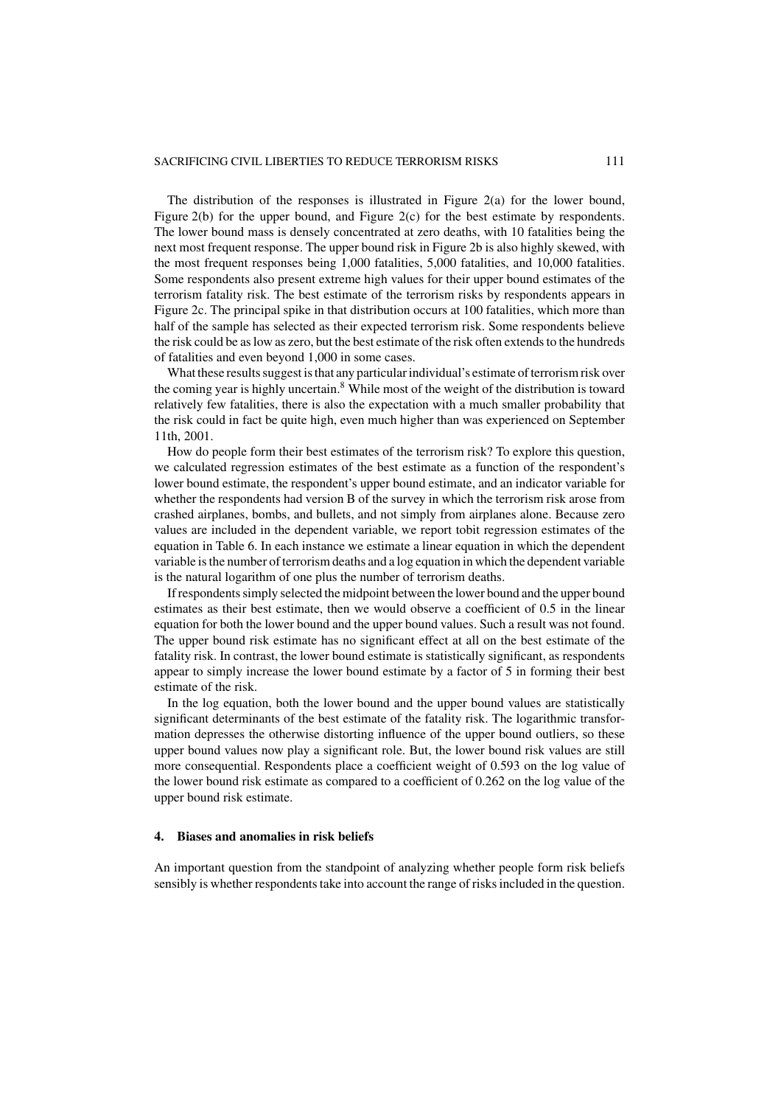The distribution of the responses is illustrated in Figure 2(a) for the lower bound, Figure 2(b) for the upper bound, and Figure 2(c) for the best estimate by respondents. The lower bound mass is densely concentrated at zero deaths, with 10 fatalities being the next most frequent response. The upper bound risk in Figure 2b is also highly skewed, with the most frequent responses being 1,000 fatalities, 5,000 fatalities, and 10,000 fatalities. Some respondents also present extreme high values for their upper bound estimates of the terrorism fatality risk. The best estimate of the terrorism risks by respondents appears in Figure 2c. The principal spike in that distribution occurs at 100 fatalities, which more than half of the sample has selected as their expected terrorism risk. Some respondents believe the risk could be as low as zero, but the best estimate of the risk often extends to the hundreds of fatalities and even beyond 1,000 in some cases.

What these results suggest is that any particular individual's estimate of terrorism risk over the coming year is highly uncertain.8 While most of the weight of the distribution is toward relatively few fatalities, there is also the expectation with a much smaller probability that the risk could in fact be quite high, even much higher than was experienced on September 11th, 2001.

How do people form their best estimates of the terrorism risk? To explore this question, we calculated regression estimates of the best estimate as a function of the respondent's lower bound estimate, the respondent's upper bound estimate, and an indicator variable for whether the respondents had version B of the survey in which the terrorism risk arose from crashed airplanes, bombs, and bullets, and not simply from airplanes alone. Because zero values are included in the dependent variable, we report tobit regression estimates of the equation in Table 6. In each instance we estimate a linear equation in which the dependent variable is the number of terrorism deaths and a log equation in which the dependent variable is the natural logarithm of one plus the number of terrorism deaths.

If respondents simply selected the midpoint between the lower bound and the upper bound estimates as their best estimate, then we would observe a coefficient of 0.5 in the linear equation for both the lower bound and the upper bound values. Such a result was not found. The upper bound risk estimate has no significant effect at all on the best estimate of the fatality risk. In contrast, the lower bound estimate is statistically significant, as respondents appear to simply increase the lower bound estimate by a factor of 5 in forming their best estimate of the risk.

In the log equation, both the lower bound and the upper bound values are statistically significant determinants of the best estimate of the fatality risk. The logarithmic transformation depresses the otherwise distorting influence of the upper bound outliers, so these upper bound values now play a significant role. But, the lower bound risk values are still more consequential. Respondents place a coefficient weight of 0.593 on the log value of the lower bound risk estimate as compared to a coefficient of 0.262 on the log value of the upper bound risk estimate.

### **4. Biases and anomalies in risk beliefs**

An important question from the standpoint of analyzing whether people form risk beliefs sensibly is whether respondents take into account the range of risks included in the question.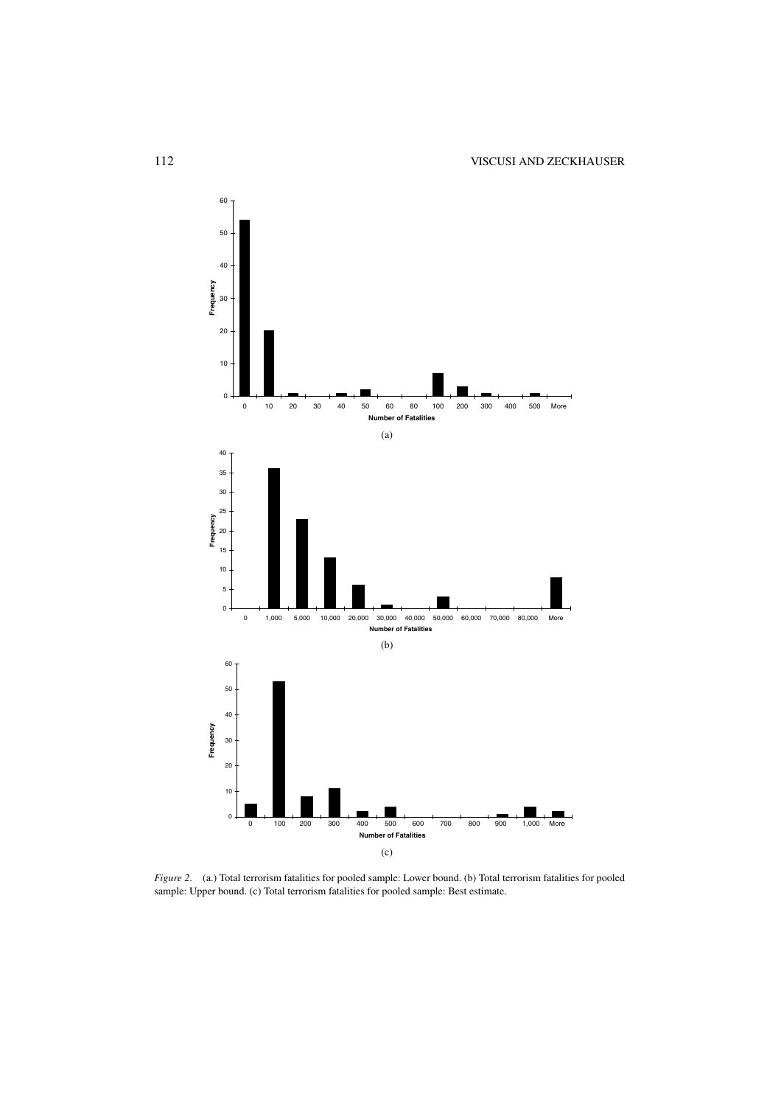

*Figure 2*. (a.) Total terrorism fatalities for pooled sample: Lower bound. (b) Total terrorism fatalities for pooled sample: Upper bound. (c) Total terrorism fatalities for pooled sample: Best estimate.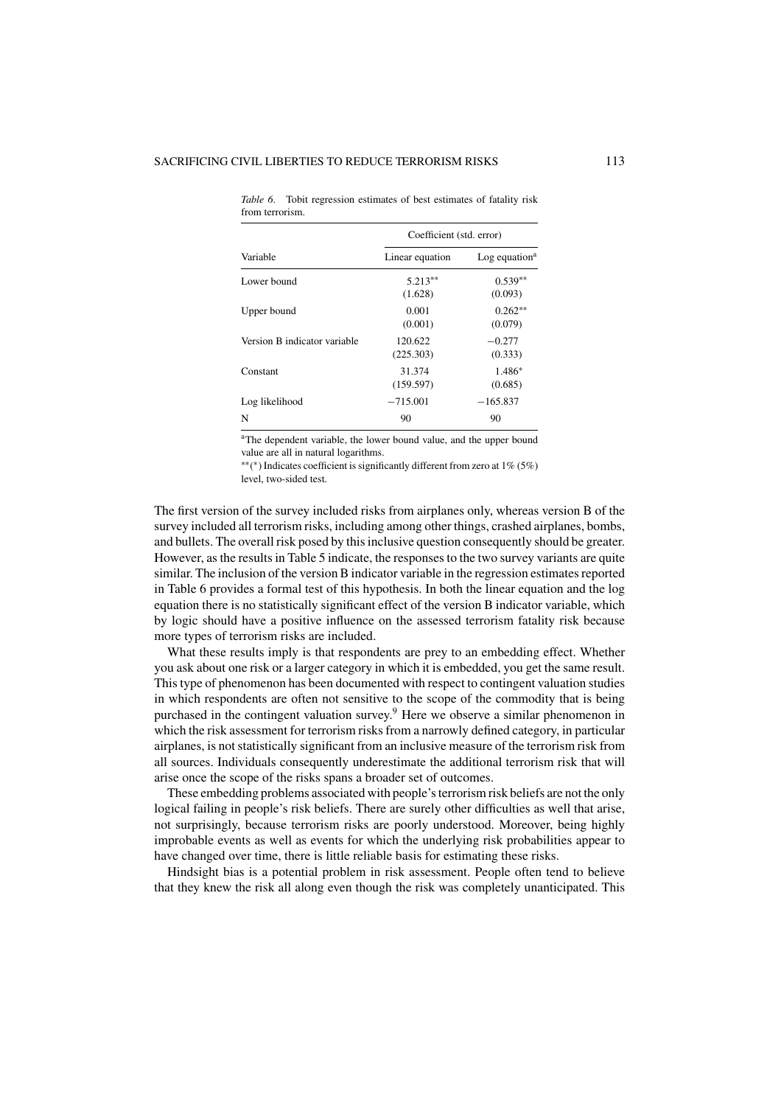#### SACRIFICING CIVIL LIBERTIES TO REDUCE TERRORISM RISKS 113

*Table 6*. Tobit regression estimates of best estimates of fatality risk from terrorism.

|                              | Coefficient (std. error) |                           |  |  |
|------------------------------|--------------------------|---------------------------|--|--|
| Variable                     | Linear equation          | Log equation <sup>a</sup> |  |  |
| Lower bound                  | $5.213**$<br>(1.628)     | $0.539**$<br>(0.093)      |  |  |
| Upper bound                  | 0.001<br>(0.001)         | $0.262**$<br>(0.079)      |  |  |
| Version B indicator variable | 120.622<br>(225.303)     | $-0.277$<br>(0.333)       |  |  |
| Constant                     | 31.374<br>(159.597)      | 1.486*<br>(0.685)         |  |  |
| Log likelihood               | $-715,001$               | $-165.837$                |  |  |
| N                            | 90                       | 90                        |  |  |

<sup>a</sup>The dependent variable, the lower bound value, and the upper bound value are all in natural logarithms.

∗∗( ∗) Indicates coefficient is significantly different from zero at 1% (5%) level, two-sided test.

The first version of the survey included risks from airplanes only, whereas version B of the survey included all terrorism risks, including among other things, crashed airplanes, bombs, and bullets. The overall risk posed by this inclusive question consequently should be greater. However, as the results in Table 5 indicate, the responses to the two survey variants are quite similar. The inclusion of the version B indicator variable in the regression estimates reported in Table 6 provides a formal test of this hypothesis. In both the linear equation and the log equation there is no statistically significant effect of the version B indicator variable, which by logic should have a positive influence on the assessed terrorism fatality risk because more types of terrorism risks are included.

What these results imply is that respondents are prey to an embedding effect. Whether you ask about one risk or a larger category in which it is embedded, you get the same result. This type of phenomenon has been documented with respect to contingent valuation studies in which respondents are often not sensitive to the scope of the commodity that is being purchased in the contingent valuation survey.<sup>9</sup> Here we observe a similar phenomenon in which the risk assessment for terrorism risks from a narrowly defined category, in particular airplanes, is not statistically significant from an inclusive measure of the terrorism risk from all sources. Individuals consequently underestimate the additional terrorism risk that will arise once the scope of the risks spans a broader set of outcomes.

These embedding problems associated with people's terrorism risk beliefs are not the only logical failing in people's risk beliefs. There are surely other difficulties as well that arise, not surprisingly, because terrorism risks are poorly understood. Moreover, being highly improbable events as well as events for which the underlying risk probabilities appear to have changed over time, there is little reliable basis for estimating these risks.

Hindsight bias is a potential problem in risk assessment. People often tend to believe that they knew the risk all along even though the risk was completely unanticipated. This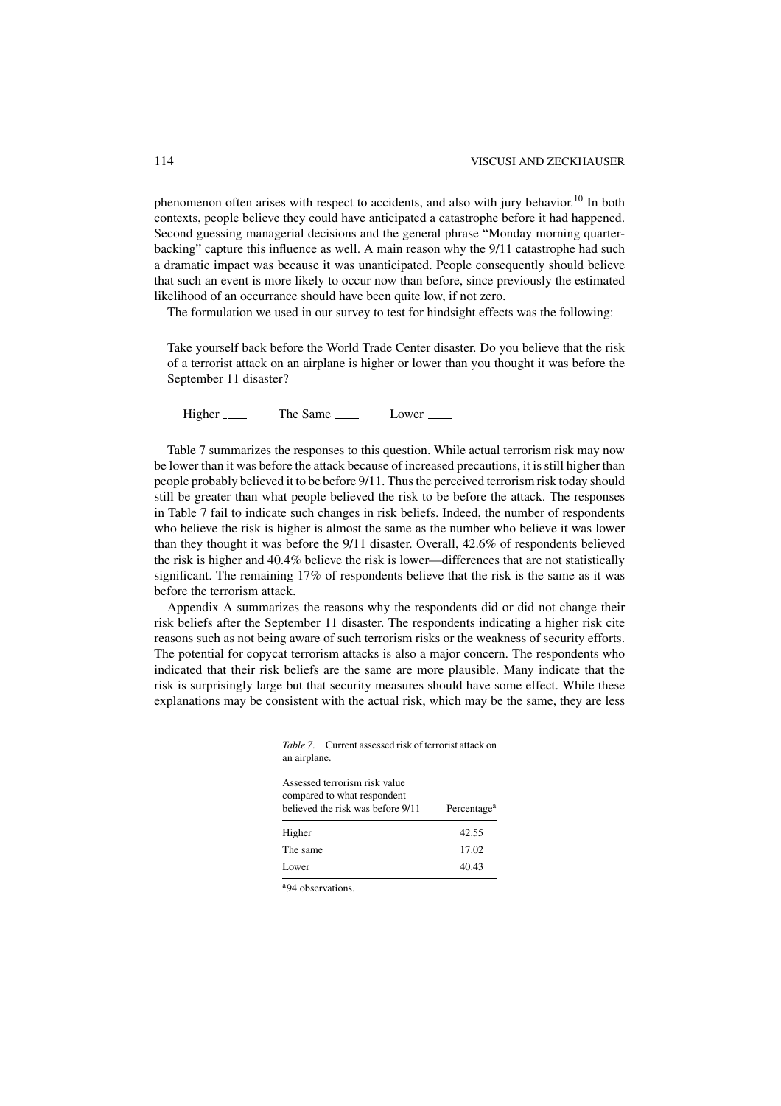phenomenon often arises with respect to accidents, and also with jury behavior.<sup>10</sup> In both contexts, people believe they could have anticipated a catastrophe before it had happened. Second guessing managerial decisions and the general phrase "Monday morning quarterbacking" capture this influence as well. A main reason why the 9/11 catastrophe had such a dramatic impact was because it was unanticipated. People consequently should believe that such an event is more likely to occur now than before, since previously the estimated likelihood of an occurrance should have been quite low, if not zero.

The formulation we used in our survey to test for hindsight effects was the following:

Take yourself back before the World Trade Center disaster. Do you believe that the risk of a terrorist attack on an airplane is higher or lower than you thought it was before the September 11 disaster?

Higher The Same Lower

Table 7 summarizes the responses to this question. While actual terrorism risk may now be lower than it was before the attack because of increased precautions, it is still higher than people probably believed it to be before 9/11. Thus the perceived terrorism risk today should still be greater than what people believed the risk to be before the attack. The responses in Table 7 fail to indicate such changes in risk beliefs. Indeed, the number of respondents who believe the risk is higher is almost the same as the number who believe it was lower than they thought it was before the 9/11 disaster. Overall, 42.6% of respondents believed the risk is higher and 40.4% believe the risk is lower—differences that are not statistically significant. The remaining 17% of respondents believe that the risk is the same as it was before the terrorism attack.

Appendix A summarizes the reasons why the respondents did or did not change their risk beliefs after the September 11 disaster. The respondents indicating a higher risk cite reasons such as not being aware of such terrorism risks or the weakness of security efforts. The potential for copycat terrorism attacks is also a major concern. The respondents who indicated that their risk beliefs are the same are more plausible. Many indicate that the risk is surprisingly large but that security measures should have some effect. While these explanations may be consistent with the actual risk, which may be the same, they are less

| an airplane.                                                                                      |                         |
|---------------------------------------------------------------------------------------------------|-------------------------|
| Assessed terrorism risk value<br>compared to what respondent<br>helieved the risk was before 9/11 | Percentage <sup>a</sup> |
| Higher                                                                                            | 42.55                   |
| The same                                                                                          | 17.02                   |
| ower                                                                                              | 40.43                   |

*Table 7*. Current assessed risk of terrorist attack on

<sup>a</sup>94 observations.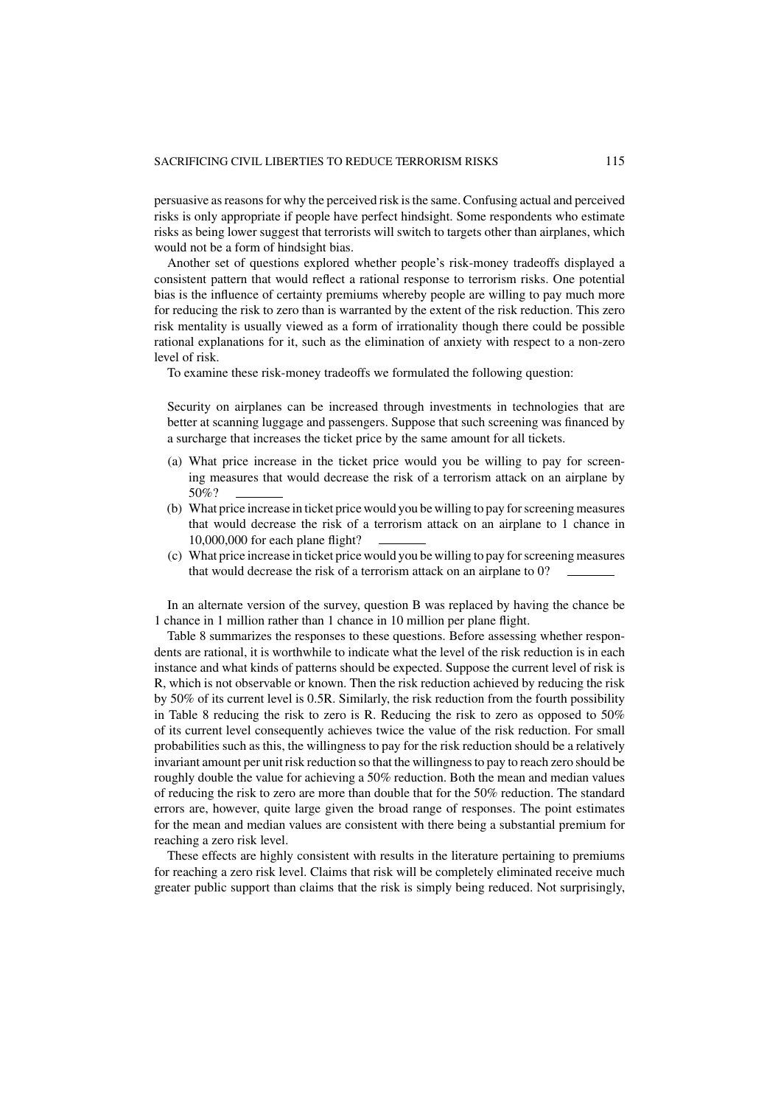persuasive as reasons for why the perceived risk is the same. Confusing actual and perceived risks is only appropriate if people have perfect hindsight. Some respondents who estimate risks as being lower suggest that terrorists will switch to targets other than airplanes, which would not be a form of hindsight bias.

Another set of questions explored whether people's risk-money tradeoffs displayed a consistent pattern that would reflect a rational response to terrorism risks. One potential bias is the influence of certainty premiums whereby people are willing to pay much more for reducing the risk to zero than is warranted by the extent of the risk reduction. This zero risk mentality is usually viewed as a form of irrationality though there could be possible rational explanations for it, such as the elimination of anxiety with respect to a non-zero level of risk.

To examine these risk-money tradeoffs we formulated the following question:

Security on airplanes can be increased through investments in technologies that are better at scanning luggage and passengers. Suppose that such screening was financed by a surcharge that increases the ticket price by the same amount for all tickets.

- (a) What price increase in the ticket price would you be willing to pay for screening measures that would decrease the risk of a terrorism attack on an airplane by 50%?
- (b) What price increase in ticket price would you be willing to pay for screening measures that would decrease the risk of a terrorism attack on an airplane to 1 chance in 10,000,000 for each plane flight?
- (c) What price increase in ticket price would you be willing to pay for screening measures that would decrease the risk of a terrorism attack on an airplane to 0?

In an alternate version of the survey, question B was replaced by having the chance be 1 chance in 1 million rather than 1 chance in 10 million per plane flight.

Table 8 summarizes the responses to these questions. Before assessing whether respondents are rational, it is worthwhile to indicate what the level of the risk reduction is in each instance and what kinds of patterns should be expected. Suppose the current level of risk is R, which is not observable or known. Then the risk reduction achieved by reducing the risk by 50% of its current level is 0.5R. Similarly, the risk reduction from the fourth possibility in Table 8 reducing the risk to zero is R. Reducing the risk to zero as opposed to 50% of its current level consequently achieves twice the value of the risk reduction. For small probabilities such as this, the willingness to pay for the risk reduction should be a relatively invariant amount per unit risk reduction so that the willingness to pay to reach zero should be roughly double the value for achieving a 50% reduction. Both the mean and median values of reducing the risk to zero are more than double that for the 50% reduction. The standard errors are, however, quite large given the broad range of responses. The point estimates for the mean and median values are consistent with there being a substantial premium for reaching a zero risk level.

These effects are highly consistent with results in the literature pertaining to premiums for reaching a zero risk level. Claims that risk will be completely eliminated receive much greater public support than claims that the risk is simply being reduced. Not surprisingly,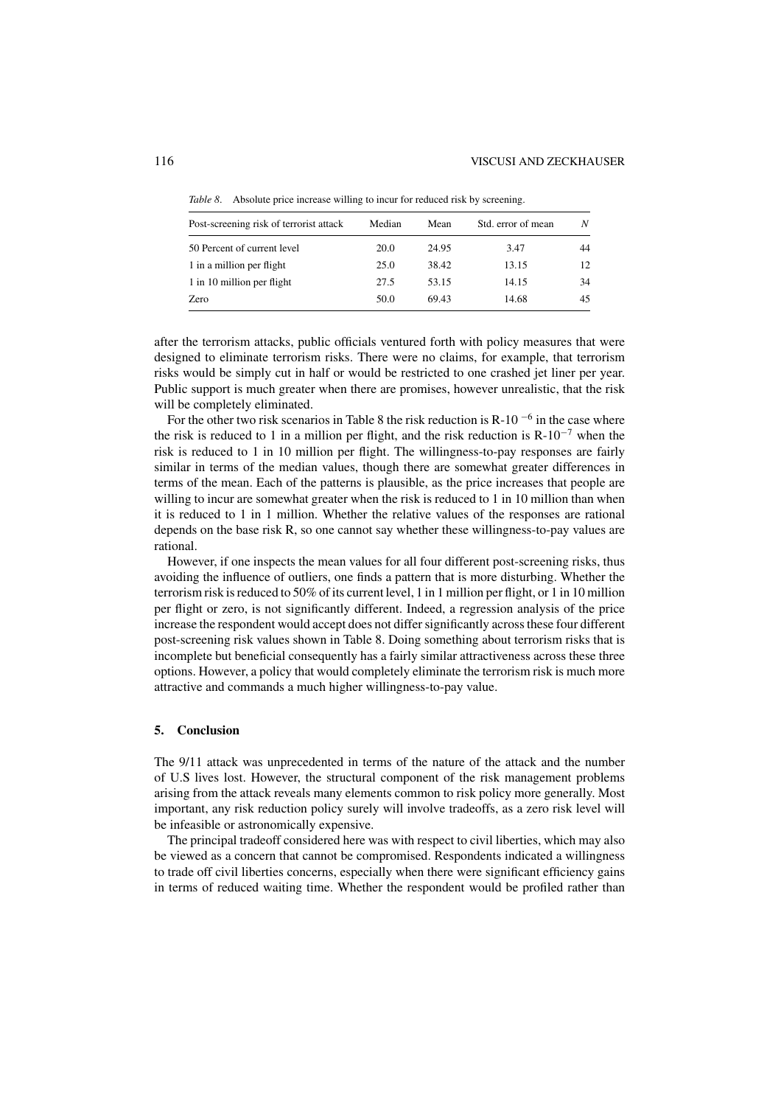| Post-screening risk of terrorist attack | Median | Mean  | Std. error of mean | N  |
|-----------------------------------------|--------|-------|--------------------|----|
| 50 Percent of current level             | 20.0   | 24.95 | 3.47               | 44 |
| 1 in a million per flight               | 25.0   | 38.42 | 13.15              | 12 |
| 1 in 10 million per flight              | 27.5   | 53.15 | 14.15              | 34 |
| Zero                                    | 50.0   | 69.43 | 14.68              | 45 |

*Table 8.* Absolute price increase willing to incur for reduced risk by screening.

after the terrorism attacks, public officials ventured forth with policy measures that were designed to eliminate terrorism risks. There were no claims, for example, that terrorism risks would be simply cut in half or would be restricted to one crashed jet liner per year. Public support is much greater when there are promises, however unrealistic, that the risk will be completely eliminated.

For the other two risk scenarios in Table 8 the risk reduction is R-10<sup> $-6$ </sup> in the case where the risk is reduced to 1 in a million per flight, and the risk reduction is  $R-10^{-7}$  when the risk is reduced to 1 in 10 million per flight. The willingness-to-pay responses are fairly similar in terms of the median values, though there are somewhat greater differences in terms of the mean. Each of the patterns is plausible, as the price increases that people are willing to incur are somewhat greater when the risk is reduced to 1 in 10 million than when it is reduced to 1 in 1 million. Whether the relative values of the responses are rational depends on the base risk R, so one cannot say whether these willingness-to-pay values are rational.

However, if one inspects the mean values for all four different post-screening risks, thus avoiding the influence of outliers, one finds a pattern that is more disturbing. Whether the terrorism risk is reduced to 50% of its current level, 1 in 1 million per flight, or 1 in 10 million per flight or zero, is not significantly different. Indeed, a regression analysis of the price increase the respondent would accept does not differ significantly across these four different post-screening risk values shown in Table 8. Doing something about terrorism risks that is incomplete but beneficial consequently has a fairly similar attractiveness across these three options. However, a policy that would completely eliminate the terrorism risk is much more attractive and commands a much higher willingness-to-pay value.

### **5. Conclusion**

The 9/11 attack was unprecedented in terms of the nature of the attack and the number of U.S lives lost. However, the structural component of the risk management problems arising from the attack reveals many elements common to risk policy more generally. Most important, any risk reduction policy surely will involve tradeoffs, as a zero risk level will be infeasible or astronomically expensive.

The principal tradeoff considered here was with respect to civil liberties, which may also be viewed as a concern that cannot be compromised. Respondents indicated a willingness to trade off civil liberties concerns, especially when there were significant efficiency gains in terms of reduced waiting time. Whether the respondent would be profiled rather than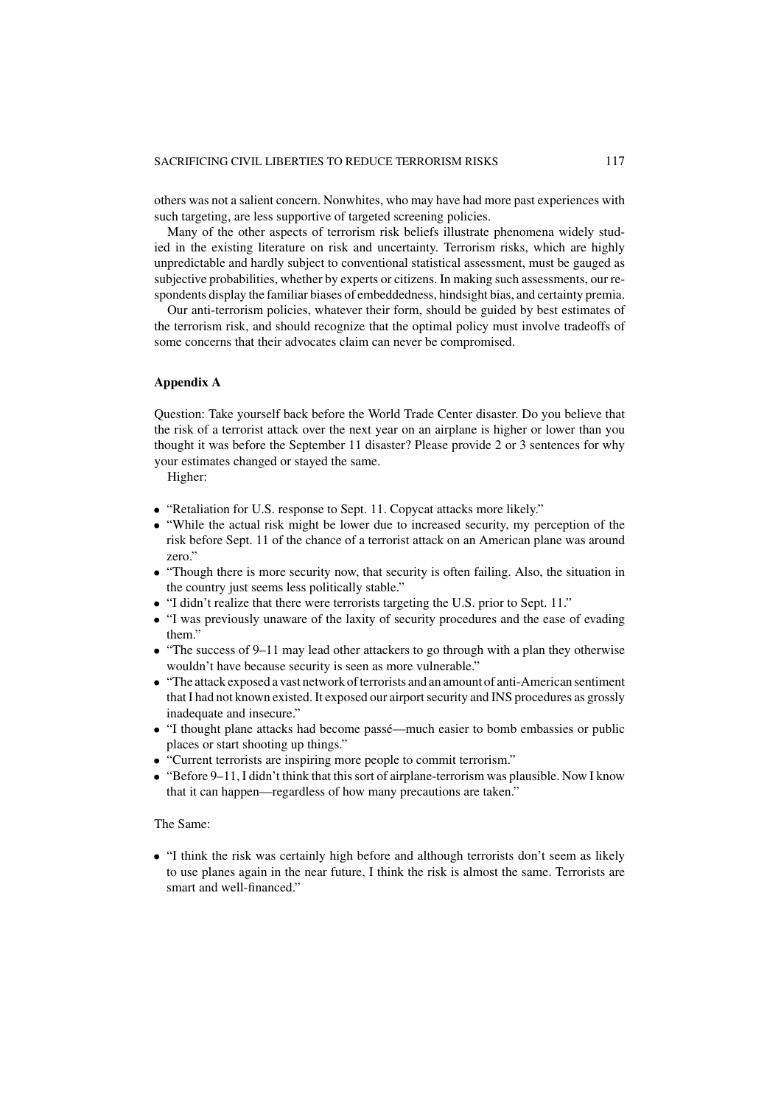others was not a salient concern. Nonwhites, who may have had more past experiences with such targeting, are less supportive of targeted screening policies.

Many of the other aspects of terrorism risk beliefs illustrate phenomena widely studied in the existing literature on risk and uncertainty. Terrorism risks, which are highly unpredictable and hardly subject to conventional statistical assessment, must be gauged as subjective probabilities, whether by experts or citizens. In making such assessments, our respondents display the familiar biases of embeddedness, hindsight bias, and certainty premia.

Our anti-terrorism policies, whatever their form, should be guided by best estimates of the terrorism risk, and should recognize that the optimal policy must involve tradeoffs of some concerns that their advocates claim can never be compromised.

# **Appendix A**

Question: Take yourself back before the World Trade Center disaster. Do you believe that the risk of a terrorist attack over the next year on an airplane is higher or lower than you thought it was before the September 11 disaster? Please provide 2 or 3 sentences for why your estimates changed or stayed the same.

Higher:

- "Retaliation for U.S. response to Sept. 11. Copycat attacks more likely."
- "While the actual risk might be lower due to increased security, my perception of the risk before Sept. 11 of the chance of a terrorist attack on an American plane was around zero."
- "Though there is more security now, that security is often failing. Also, the situation in the country just seems less politically stable."
- "I didn't realize that there were terrorists targeting the U.S. prior to Sept. 11."
- "I was previously unaware of the laxity of security procedures and the ease of evading them."
- "The success of 9–11 may lead other attackers to go through with a plan they otherwise wouldn't have because security is seen as more vulnerable."
- "The attack exposed a vast network of terrorists and an amount of anti-American sentiment that I had not known existed. It exposed our airport security and INS procedures as grossly inadequate and insecure."
- "I thought plane attacks had become passé—much easier to bomb embassies or public places or start shooting up things."
- "Current terrorists are inspiring more people to commit terrorism."
- "Before 9–11, I didn't think that this sort of airplane-terrorism was plausible. Now I know that it can happen—regardless of how many precautions are taken."

# The Same:

• "I think the risk was certainly high before and although terrorists don't seem as likely to use planes again in the near future, I think the risk is almost the same. Terrorists are smart and well-financed"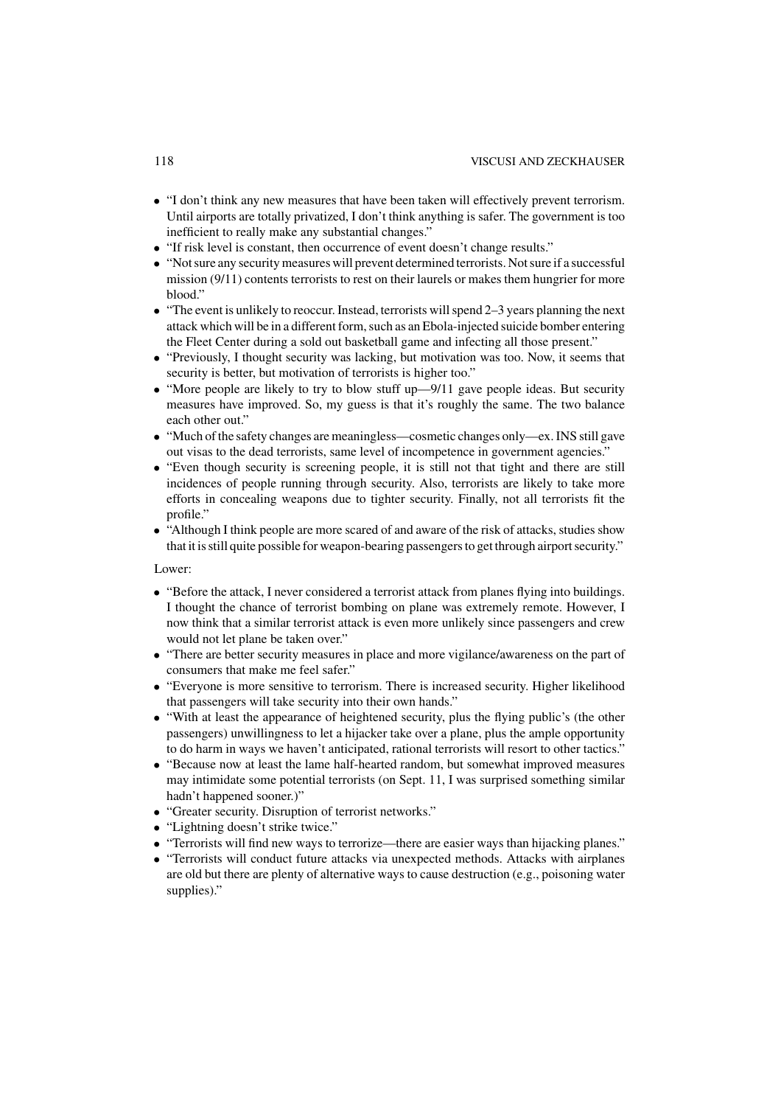# 118 VISCUSI AND ZECKHAUSER

- "I don't think any new measures that have been taken will effectively prevent terrorism. Until airports are totally privatized, I don't think anything is safer. The government is too inefficient to really make any substantial changes."
- "If risk level is constant, then occurrence of event doesn't change results."
- "Not sure any security measures will prevent determined terrorists. Not sure if a successful mission (9/11) contents terrorists to rest on their laurels or makes them hungrier for more blood."
- "The event is unlikely to reoccur. Instead, terrorists will spend 2–3 years planning the next attack which will be in a different form, such as an Ebola-injected suicide bomber entering the Fleet Center during a sold out basketball game and infecting all those present."
- "Previously, I thought security was lacking, but motivation was too. Now, it seems that security is better, but motivation of terrorists is higher too."
- "More people are likely to try to blow stuff up—9/11 gave people ideas. But security measures have improved. So, my guess is that it's roughly the same. The two balance each other out."
- "Much of the safety changes are meaningless—cosmetic changes only—ex. INS still gave out visas to the dead terrorists, same level of incompetence in government agencies."
- "Even though security is screening people, it is still not that tight and there are still incidences of people running through security. Also, terrorists are likely to take more efforts in concealing weapons due to tighter security. Finally, not all terrorists fit the profile."
- "Although I think people are more scared of and aware of the risk of attacks, studies show that it is still quite possible for weapon-bearing passengers to get through airport security."

Lower:

- "Before the attack, I never considered a terrorist attack from planes flying into buildings. I thought the chance of terrorist bombing on plane was extremely remote. However, I now think that a similar terrorist attack is even more unlikely since passengers and crew would not let plane be taken over."
- "There are better security measures in place and more vigilance/awareness on the part of consumers that make me feel safer."
- "Everyone is more sensitive to terrorism. There is increased security. Higher likelihood that passengers will take security into their own hands."
- "With at least the appearance of heightened security, plus the flying public's (the other passengers) unwillingness to let a hijacker take over a plane, plus the ample opportunity to do harm in ways we haven't anticipated, rational terrorists will resort to other tactics."
- "Because now at least the lame half-hearted random, but somewhat improved measures may intimidate some potential terrorists (on Sept. 11, I was surprised something similar hadn't happened sooner.)"
- "Greater security. Disruption of terrorist networks."
- "Lightning doesn't strike twice."
- "Terrorists will find new ways to terrorize—there are easier ways than hijacking planes."
- "Terrorists will conduct future attacks via unexpected methods. Attacks with airplanes are old but there are plenty of alternative ways to cause destruction (e.g., poisoning water supplies)."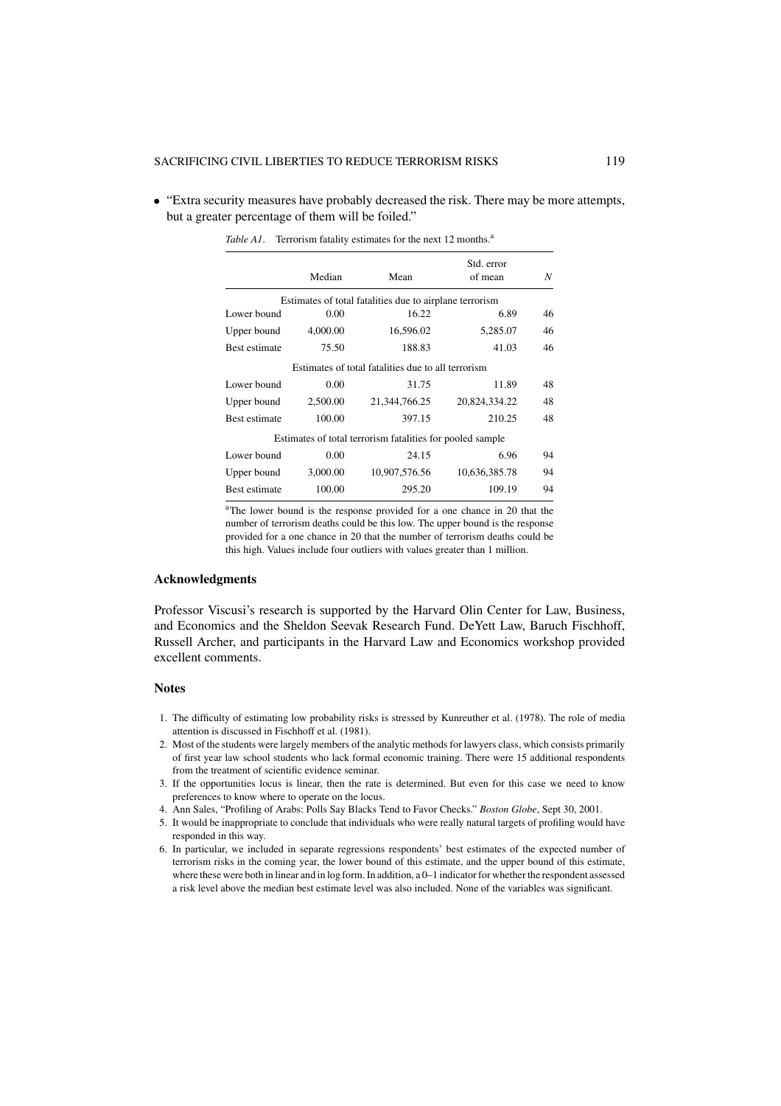• "Extra security measures have probably decreased the risk. There may be more attempts, but a greater percentage of them will be foiled."

|                      | Median   | Mean                                                      | Std. error<br>of mean | N  |
|----------------------|----------|-----------------------------------------------------------|-----------------------|----|
|                      |          | Estimates of total fatalities due to airplane terrorism   |                       |    |
| Lower bound          | 0.00     | 16.22                                                     | 6.89                  | 46 |
| Upper bound          | 4,000.00 | 16,596.02                                                 | 5,285.07              | 46 |
| <b>Best estimate</b> | 75.50    | 188.83                                                    | 41.03                 | 46 |
|                      |          | Estimates of total fatalities due to all terrorism        |                       |    |
| Lower bound          | 0.00     | 31.75                                                     | 11.89                 | 48 |
| Upper bound          | 2,500.00 | 21,344,766.25                                             | 20,824,334.22         | 48 |
| <b>Best estimate</b> | 100.00   | 397.15                                                    | 210.25                | 48 |
|                      |          | Estimates of total terrorism fatalities for pooled sample |                       |    |
| Lower bound          | 0.00     | 24.15                                                     | 6.96                  | 94 |
| Upper bound          | 3,000.00 | 10,907,576.56                                             | 10,636,385.78         | 94 |
| Best estimate        | 100.00   | 295.20                                                    | 109.19                | 94 |
|                      |          |                                                           |                       |    |

*Table A1*. Terrorism fatality estimates for the next 12 months.<sup>a</sup>

aThe lower bound is the response provided for a one chance in 20 that the number of terrorism deaths could be this low. The upper bound is the response provided for a one chance in 20 that the number of terrorism deaths could be this high. Values include four outliers with values greater than 1 million.

# **Acknowledgments**

Professor Viscusi's research is supported by the Harvard Olin Center for Law, Business, and Economics and the Sheldon Seevak Research Fund. DeYett Law, Baruch Fischhoff, Russell Archer, and participants in the Harvard Law and Economics workshop provided excellent comments.

# **Notes**

- 1. The difficulty of estimating low probability risks is stressed by Kunreuther et al. (1978). The role of media attention is discussed in Fischhoff et al. (1981).
- 2. Most of the students were largely members of the analytic methods for lawyers class, which consists primarily of first year law school students who lack formal economic training. There were 15 additional respondents from the treatment of scientific evidence seminar.
- 3. If the opportunities locus is linear, then the rate is determined. But even for this case we need to know preferences to know where to operate on the locus.
- 4. Ann Sales, "Profiling of Arabs: Polls Say Blacks Tend to Favor Checks." *Boston Globe*, Sept 30, 2001.
- 5. It would be inappropriate to conclude that individuals who were really natural targets of profiling would have responded in this way.
- 6. In particular, we included in separate regressions respondents' best estimates of the expected number of terrorism risks in the coming year, the lower bound of this estimate, and the upper bound of this estimate, where these were both in linear and in log form. In addition, a 0–1 indicator for whether the respondent assessed a risk level above the median best estimate level was also included. None of the variables was significant.